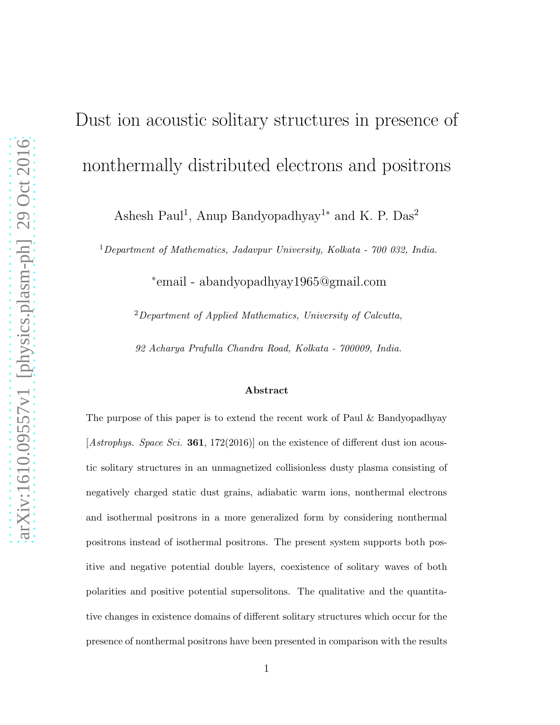# Dust ion acoustic solitary structures in presence of nonthermally distributed electrons and positrons

Ashesh Paul<sup>1</sup>, Anup Bandyopadhyay<sup>1\*</sup> and K. P. Das<sup>2</sup>

 $1$ Department of Mathematics, Jadavpur University, Kolkata - 700 032, India.

∗ email - abandyopadhyay1965@gmail.com

 $2$ Department of Applied Mathematics, University of Calcutta,

92 Acharya Prafulla Chandra Road, Kolkata - 700009, India.

#### Abstract

The purpose of this paper is to extend the recent work of Paul & Bandyopadhyay [Astrophys. Space Sci. 361, 172(2016)] on the existence of different dust ion acoustic solitary structures in an unmagnetized collisionless dusty plasma consisting of negatively charged static dust grains, adiabatic warm ions, nonthermal electrons and isothermal positrons in a more generalized form by considering nonthermal positrons instead of isothermal positrons. The present system supports both positive and negative potential double layers, coexistence of solitary waves of both polarities and positive potential supersolitons. The qualitative and the quantitative changes in existence domains of different solitary structures which occur for the presence of nonthermal positrons have been presented in comparison with the results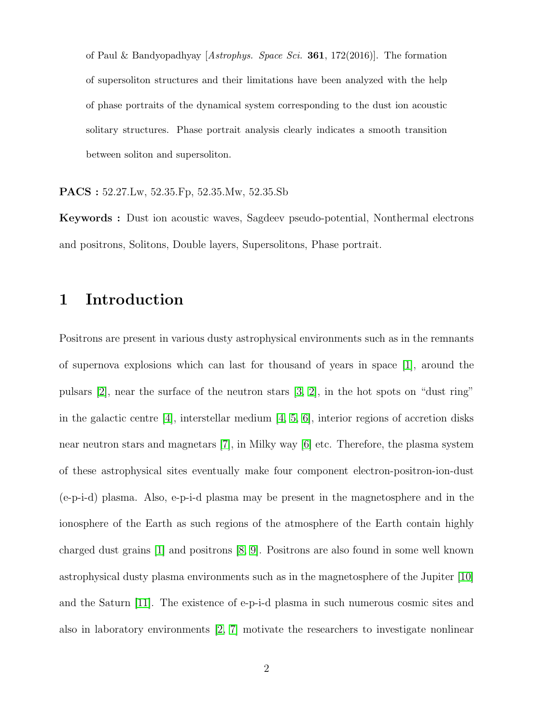of Paul & Bandyopadhyay [Astrophys. Space Sci. **361**, 172(2016)]. The formation of supersoliton structures and their limitations have been analyzed with the help of phase portraits of the dynamical system corresponding to the dust ion acoustic solitary structures. Phase portrait analysis clearly indicates a smooth transition between soliton and supersoliton.

PACS : 52.27.Lw, 52.35.Fp, 52.35.Mw, 52.35.Sb

Keywords : Dust ion acoustic waves, Sagdeev pseudo-potential, Nonthermal electrons and positrons, Solitons, Double layers, Supersolitons, Phase portrait.

## 1 Introduction

Positrons are present in various dusty astrophysical environments such as in the remnants of supernova explosions which can last for thousand of years in space [\[1\]](#page-17-0), around the pulsars [\[2\]](#page-17-1), near the surface of the neutron stars [\[3,](#page-17-2) [2\]](#page-17-1), in the hot spots on "dust ring" in the galactic centre [\[4\]](#page-17-3), interstellar medium [\[4,](#page-17-3) [5,](#page-17-4) [6\]](#page-17-5), interior regions of accretion disks near neutron stars and magnetars [\[7\]](#page-17-6), in Milky way [\[6\]](#page-17-5) etc. Therefore, the plasma system of these astrophysical sites eventually make four component electron-positron-ion-dust (e-p-i-d) plasma. Also, e-p-i-d plasma may be present in the magnetosphere and in the ionosphere of the Earth as such regions of the atmosphere of the Earth contain highly charged dust grains [\[1\]](#page-17-0) and positrons [\[8,](#page-18-0) [9\]](#page-18-1). Positrons are also found in some well known astrophysical dusty plasma environments such as in the magnetosphere of the Jupiter [\[10\]](#page-18-2) and the Saturn [\[11\]](#page-18-3). The existence of e-p-i-d plasma in such numerous cosmic sites and also in laboratory environments [\[2,](#page-17-1) [7\]](#page-17-6) motivate the researchers to investigate nonlinear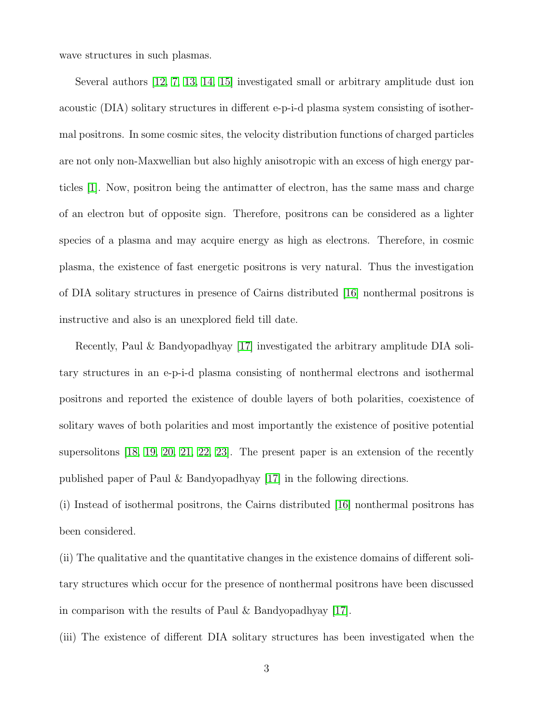wave structures in such plasmas.

Several authors [\[12,](#page-18-4) [7,](#page-17-6) [13,](#page-18-5) [14,](#page-18-6) [15\]](#page-18-7) investigated small or arbitrary amplitude dust ion acoustic (DIA) solitary structures in different e-p-i-d plasma system consisting of isothermal positrons. In some cosmic sites, the velocity distribution functions of charged particles are not only non-Maxwellian but also highly anisotropic with an excess of high energy particles [\[1\]](#page-17-0). Now, positron being the antimatter of electron, has the same mass and charge of an electron but of opposite sign. Therefore, positrons can be considered as a lighter species of a plasma and may acquire energy as high as electrons. Therefore, in cosmic plasma, the existence of fast energetic positrons is very natural. Thus the investigation of DIA solitary structures in presence of Cairns distributed [\[16\]](#page-18-8) nonthermal positrons is instructive and also is an unexplored field till date.

Recently, Paul & Bandyopadhyay [\[17\]](#page-18-9) investigated the arbitrary amplitude DIA solitary structures in an e-p-i-d plasma consisting of nonthermal electrons and isothermal positrons and reported the existence of double layers of both polarities, coexistence of solitary waves of both polarities and most importantly the existence of positive potential supersolitons [\[18,](#page-18-10) [19,](#page-18-11) [20,](#page-18-12) [21,](#page-18-13) [22,](#page-19-0) [23\]](#page-19-1). The present paper is an extension of the recently published paper of Paul & Bandyopadhyay [\[17\]](#page-18-9) in the following directions.

(i) Instead of isothermal positrons, the Cairns distributed [\[16\]](#page-18-8) nonthermal positrons has been considered.

(ii) The qualitative and the quantitative changes in the existence domains of different solitary structures which occur for the presence of nonthermal positrons have been discussed in comparison with the results of Paul & Bandyopadhyay [\[17\]](#page-18-9).

(iii) The existence of different DIA solitary structures has been investigated when the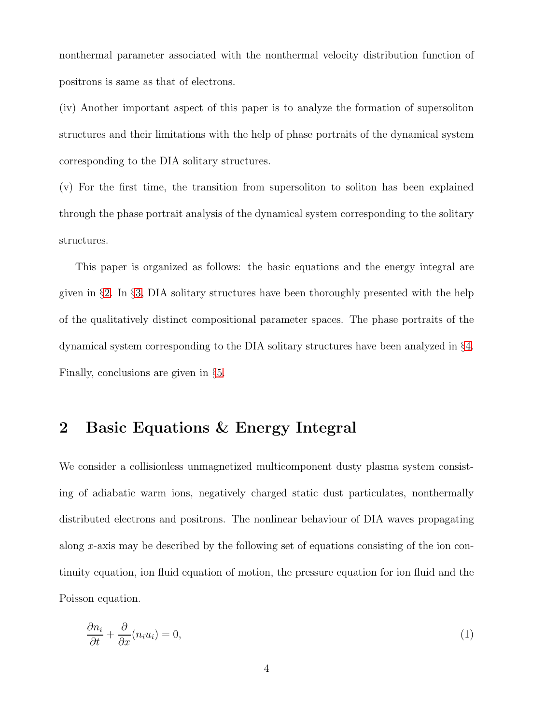nonthermal parameter associated with the nonthermal velocity distribution function of positrons is same as that of electrons.

(iv) Another important aspect of this paper is to analyze the formation of supersoliton structures and their limitations with the help of phase portraits of the dynamical system corresponding to the DIA solitary structures.

(v) For the first time, the transition from supersoliton to soliton has been explained through the phase portrait analysis of the dynamical system corresponding to the solitary structures.

This paper is organized as follows: the basic equations and the energy integral are given in §[2.](#page-3-0) In §[3,](#page-7-0) DIA solitary structures have been thoroughly presented with the help of the qualitatively distinct compositional parameter spaces. The phase portraits of the dynamical system corresponding to the DIA solitary structures have been analyzed in §[4.](#page-11-0) Finally, conclusions are given in §[5.](#page-15-0)

#### <span id="page-3-0"></span>2 Basic Equations & Energy Integral

We consider a collisionless unmagnetized multicomponent dusty plasma system consisting of adiabatic warm ions, negatively charged static dust particulates, nonthermally distributed electrons and positrons. The nonlinear behaviour of DIA waves propagating along x-axis may be described by the following set of equations consisting of the ion continuity equation, ion fluid equation of motion, the pressure equation for ion fluid and the Poisson equation.

<span id="page-3-1"></span>
$$
\frac{\partial n_i}{\partial t} + \frac{\partial}{\partial x}(n_i u_i) = 0,\tag{1}
$$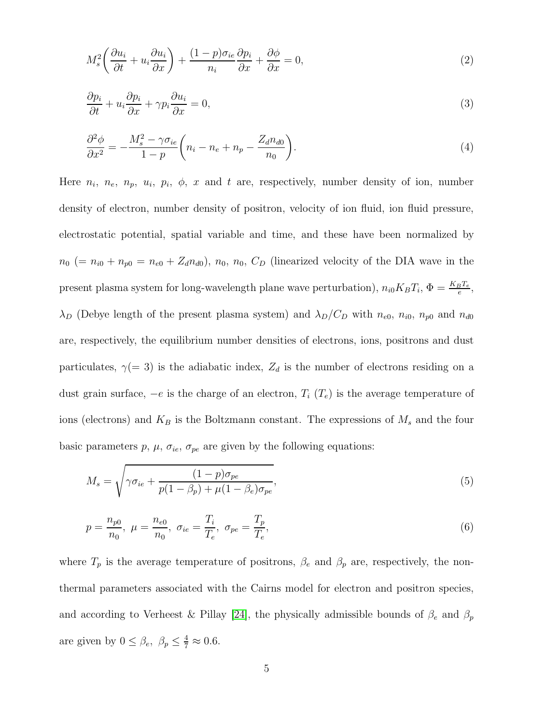<span id="page-4-0"></span>
$$
M_s^2 \left( \frac{\partial u_i}{\partial t} + u_i \frac{\partial u_i}{\partial x} \right) + \frac{(1 - p)\sigma_{ie}}{n_i} \frac{\partial p_i}{\partial x} + \frac{\partial \phi}{\partial x} = 0, \tag{2}
$$

$$
\frac{\partial p_i}{\partial t} + u_i \frac{\partial p_i}{\partial x} + \gamma p_i \frac{\partial u_i}{\partial x} = 0,
$$
\n(3)

<span id="page-4-1"></span>
$$
\frac{\partial^2 \phi}{\partial x^2} = -\frac{M_s^2 - \gamma \sigma_{ie}}{1 - p} \left( n_i - n_e + n_p - \frac{Z_d n_{d0}}{n_0} \right). \tag{4}
$$

Here  $n_i$ ,  $n_e$ ,  $n_p$ ,  $u_i$ ,  $p_i$ ,  $\phi$ , x and t are, respectively, number density of ion, number density of electron, number density of positron, velocity of ion fluid, ion fluid pressure, electrostatic potential, spatial variable and time, and these have been normalized by  $n_0$  (=  $n_{i0} + n_{p0} = n_{e0} + Z_d n_{d0}$ ),  $n_0$ ,  $n_0$ ,  $C_D$  (linearized velocity of the DIA wave in the present plasma system for long-wavelength plane wave perturbation),  $n_{i0}K_BT_i$ ,  $\Phi = \frac{K_BT_e}{e}$ ,  $\lambda_D$  (Debye length of the present plasma system) and  $\lambda_D/C_D$  with  $n_{e0}$ ,  $n_{i0}$ ,  $n_{p0}$  and  $n_{d0}$ are, respectively, the equilibrium number densities of electrons, ions, positrons and dust particulates,  $\gamma(= 3)$  is the adiabatic index,  $Z_d$  is the number of electrons residing on a dust grain surface,  $-e$  is the charge of an electron,  $T_i$   $(T_e)$  is the average temperature of ions (electrons) and  $K_B$  is the Boltzmann constant. The expressions of  $M_s$  and the four basic parameters p,  $\mu$ ,  $\sigma_{ie}$ ,  $\sigma_{pe}$  are given by the following equations:

<span id="page-4-2"></span>
$$
M_s = \sqrt{\gamma \sigma_{ie} + \frac{(1-p)\sigma_{pe}}{p(1-\beta_p) + \mu(1-\beta_e)\sigma_{pe}}},\tag{5}
$$

$$
p = \frac{n_{p0}}{n_0}, \ \mu = \frac{n_{e0}}{n_0}, \ \sigma_{ie} = \frac{T_i}{T_e}, \ \sigma_{pe} = \frac{T_p}{T_e}, \tag{6}
$$

where  $T_p$  is the average temperature of positrons,  $\beta_e$  and  $\beta_p$  are, respectively, the nonthermal parameters associated with the Cairns model for electron and positron species, and according to Verheest & Pillay [\[24\]](#page-19-2), the physically admissible bounds of  $\beta_e$  and  $\beta_p$ are given by  $0 \leq \beta_e$ ,  $\beta_p \leq \frac{4}{7} \approx 0.6$ .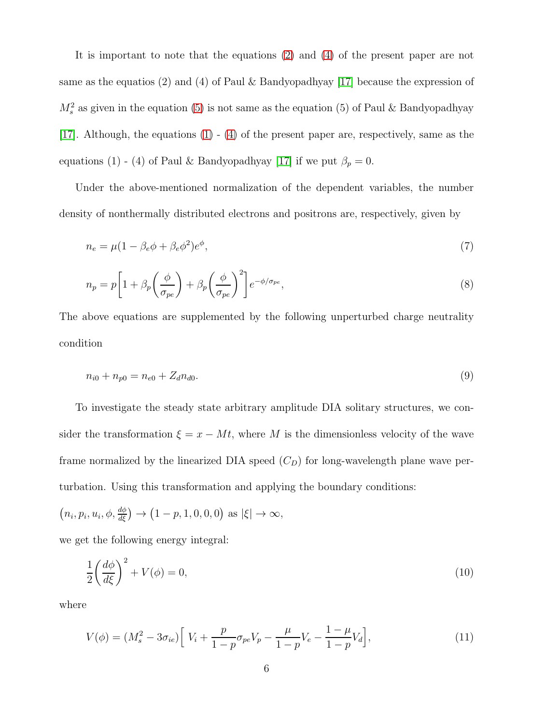It is important to note that the equations [\(2\)](#page-4-0) and [\(4\)](#page-4-1) of the present paper are not same as the equatios (2) and (4) of Paul & Bandyopadhyay [\[17\]](#page-18-9) because the expression of  $M_s^2$  as given in the equation [\(5\)](#page-4-2) is not same as the equation (5) of Paul & Bandyopadhyay [\[17\]](#page-18-9). Although, the equations [\(1\)](#page-3-1) - [\(4\)](#page-4-1) of the present paper are, respectively, same as the equations (1) - (4) of Paul & Bandyopadhyay [\[17\]](#page-18-9) if we put  $\beta_p = 0$ .

Under the above-mentioned normalization of the dependent variables, the number density of nonthermally distributed electrons and positrons are, respectively, given by

$$
n_e = \mu (1 - \beta_e \phi + \beta_e \phi^2) e^{\phi},\tag{7}
$$

$$
n_p = p \left[ 1 + \beta_p \left( \frac{\phi}{\sigma_{pe}} \right) + \beta_p \left( \frac{\phi}{\sigma_{pe}} \right)^2 \right] e^{-\phi/\sigma_{pe}},\tag{8}
$$

The above equations are supplemented by the following unperturbed charge neutrality condition

$$
n_{i0} + n_{p0} = n_{e0} + Z_d n_{d0}.
$$
\n<sup>(9)</sup>

To investigate the steady state arbitrary amplitude DIA solitary structures, we consider the transformation  $\xi = x - Mt$ , where M is the dimensionless velocity of the wave frame normalized by the linearized DIA speed  $(C_D)$  for long-wavelength plane wave perturbation. Using this transformation and applying the boundary conditions:

$$
(n_i, p_i, u_i, \phi, \frac{d\phi}{d\xi}) \rightarrow (1-p, 1, 0, 0, 0)
$$
 as  $|\xi| \rightarrow \infty$ ,

we get the following energy integral:

<span id="page-5-0"></span>
$$
\frac{1}{2}\left(\frac{d\phi}{d\xi}\right)^2 + V(\phi) = 0,\tag{10}
$$

where

$$
V(\phi) = (M_s^2 - 3\sigma_{ie}) \left[ V_i + \frac{p}{1-p} \sigma_{pe} V_p - \frac{\mu}{1-p} V_e - \frac{1-\mu}{1-p} V_d \right],
$$
\n(11)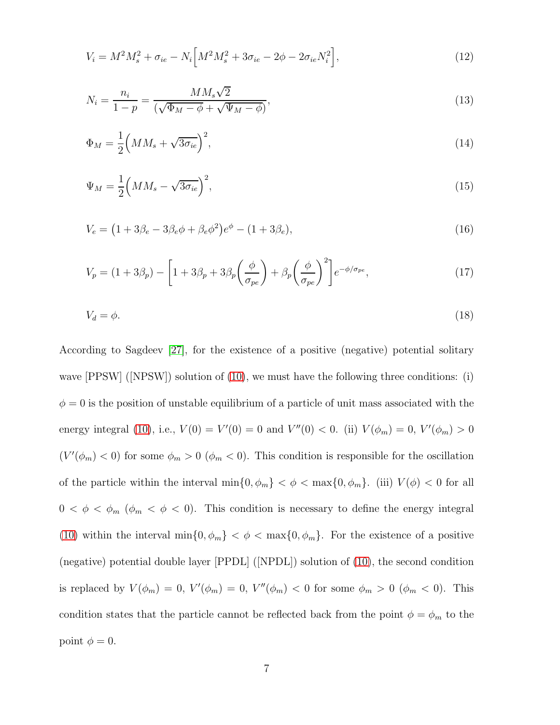$$
V_i = M^2 M_s^2 + \sigma_{ie} - N_i \Big[ M^2 M_s^2 + 3\sigma_{ie} - 2\phi - 2\sigma_{ie} N_i^2 \Big],\tag{12}
$$

<span id="page-6-0"></span>
$$
N_i = \frac{n_i}{1 - p} = \frac{MM_s\sqrt{2}}{(\sqrt{\Phi_M - \phi} + \sqrt{\Psi_M - \phi})},\tag{13}
$$

$$
\Phi_M = \frac{1}{2} \left( M M_s + \sqrt{3 \sigma_{ie}} \right)^2,\tag{14}
$$

$$
\Psi_M = \frac{1}{2} \left( M M_s - \sqrt{3 \sigma_{ie}} \right)^2,\tag{15}
$$

$$
V_e = (1 + 3\beta_e - 3\beta_e\phi + \beta_e\phi^2)e^{\phi} - (1 + 3\beta_e),
$$
\n(16)

$$
V_p = (1 + 3\beta_p) - \left[1 + 3\beta_p + 3\beta_p \left(\frac{\phi}{\sigma_{pe}}\right) + \beta_p \left(\frac{\phi}{\sigma_{pe}}\right)^2\right] e^{-\phi/\sigma_{pe}},\tag{17}
$$

$$
V_d = \phi. \tag{18}
$$

According to Sagdeev [\[27\]](#page-19-3), for the existence of a positive (negative) potential solitary wave [PPSW] ([NPSW]) solution of [\(10\)](#page-5-0), we must have the following three conditions: (i)  $\phi = 0$  is the position of unstable equilibrium of a particle of unit mass associated with the energy integral [\(10\)](#page-5-0), i.e.,  $V(0) = V'(0) = 0$  and  $V''(0) < 0$ . (ii)  $V(\phi_m) = 0$ ,  $V'(\phi_m) > 0$  $(V'(\phi_m) < 0)$  for some  $\phi_m > 0$   $(\phi_m < 0)$ . This condition is responsible for the oscillation of the particle within the interval  $\min\{0, \phi_m\} < \phi < \max\{0, \phi_m\}$ . (iii)  $V(\phi) < 0$  for all  $0 < \phi < \phi_m$  ( $\phi_m < \phi < 0$ ). This condition is necessary to define the energy integral [\(10\)](#page-5-0) within the interval  $\min\{0, \phi_m\} < \phi < \max\{0, \phi_m\}$ . For the existence of a positive (negative) potential double layer [PPDL] ([NPDL]) solution of [\(10\)](#page-5-0), the second condition is replaced by  $V(\phi_m) = 0$ ,  $V'(\phi_m) = 0$ ,  $V''(\phi_m) < 0$  for some  $\phi_m > 0$  ( $\phi_m < 0$ ). This condition states that the particle cannot be reflected back from the point  $\phi = \phi_m$  to the point  $\phi = 0$ .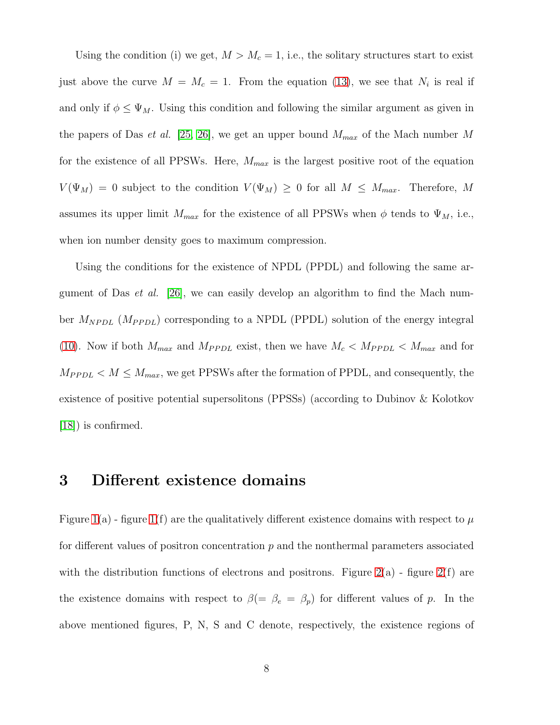Using the condition (i) we get,  $M > M_c = 1$ , i.e., the solitary structures start to exist just above the curve  $M = M_c = 1$ . From the equation [\(13\)](#page-6-0), we see that  $N_i$  is real if and only if  $\phi \leq \Psi_M$ . Using this condition and following the similar argument as given in the papers of Das *et al.* [\[25,](#page-19-4) [26\]](#page-19-5), we get an upper bound  $M_{max}$  of the Mach number M for the existence of all PPSWs. Here,  $M_{max}$  is the largest positive root of the equation  $V(\Psi_M) = 0$  subject to the condition  $V(\Psi_M) \geq 0$  for all  $M \leq M_{max}$ . Therefore, M assumes its upper limit  $M_{max}$  for the existence of all PPSWs when  $\phi$  tends to  $\Psi_M$ , i.e., when ion number density goes to maximum compression.

Using the conditions for the existence of NPDL (PPDL) and following the same argument of Das *et al.* [\[26\]](#page-19-5), we can easily develop an algorithm to find the Mach number  $M_{NPDL}$  ( $M_{PPDL}$ ) corresponding to a NPDL (PPDL) solution of the energy integral [\(10\)](#page-5-0). Now if both  $M_{max}$  and  $M_{PPDL}$  exist, then we have  $M_c < M_{PPDL} < M_{max}$  and for  $M_{PPDL} < M \leq M_{max}$ , we get PPSWs after the formation of PPDL, and consequently, the existence of positive potential supersolitons (PPSSs) (according to Dubinov & Kolotkov [\[18\]](#page-18-10)) is confirmed.

#### <span id="page-7-0"></span>3 Different existence domains

Figure [1\(](#page-20-0)a) - figure 1(f) are the qualitatively different existence domains with respect to  $\mu$ for different values of positron concentration  $p$  and the nonthermal parameters associated with the distribution functions of electrons and positrons. Figure  $2(a)$  - figure  $2(f)$  are the existence domains with respect to  $\beta (= \beta_e = \beta_p)$  for different values of p. In the above mentioned figures, P, N, S and C denote, respectively, the existence regions of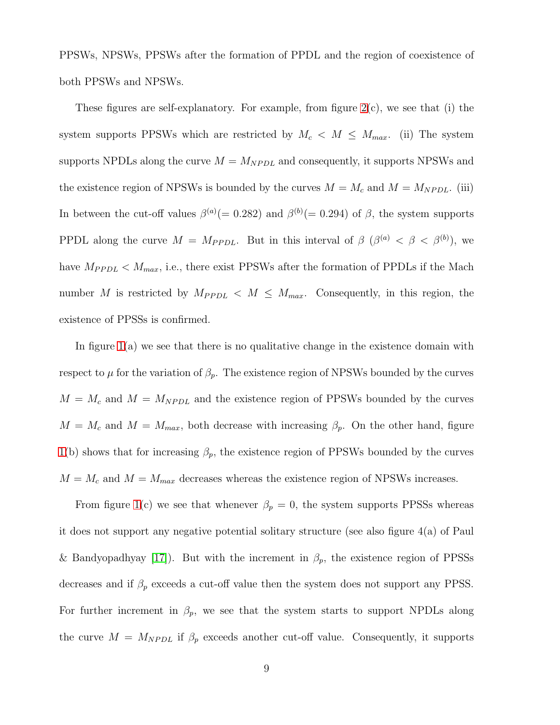PPSWs, NPSWs, PPSWs after the formation of PPDL and the region of coexistence of both PPSWs and NPSWs.

These figures are self-explanatory. For example, from figure [2\(](#page-21-0)c), we see that (i) the system supports PPSWs which are restricted by  $M_c < M \leq M_{max}$ . (ii) The system supports NPDLs along the curve  $M = M_{N P D L}$  and consequently, it supports NPSWs and the existence region of NPSWs is bounded by the curves  $M = M_c$  and  $M = M_{NPDL}$ . (iii) In between the cut-off values  $\beta^{(a)}(=0.282)$  and  $\beta^{(b)}(=0.294)$  of  $\beta$ , the system supports PPDL along the curve  $M = M_{PPDL}$ . But in this interval of  $\beta$  ( $\beta^{(a)} < \beta < \beta^{(b)}$ ), we have  $M_{PPDL} < M_{max}$ , i.e., there exist PPSWs after the formation of PPDLs if the Mach number M is restricted by  $M_{PPDL} < M \leq M_{max}$ . Consequently, in this region, the existence of PPSSs is confirmed.

In figure  $1(a)$  we see that there is no qualitative change in the existence domain with respect to  $\mu$  for the variation of  $\beta_p$ . The existence region of NPSWs bounded by the curves  $M = M_c$  and  $M = M_{NPL}$  and the existence region of PPSWs bounded by the curves  $M = M_c$  and  $M = M_{max}$ , both decrease with increasing  $\beta_p$ . On the other hand, figure [1\(](#page-20-0)b) shows that for increasing  $\beta_p$ , the existence region of PPSWs bounded by the curves  $M = M_c$  and  $M = M_{max}$  decreases whereas the existence region of NPSWs increases.

From figure [1\(](#page-20-0)c) we see that whenever  $\beta_p = 0$ , the system supports PPSSs whereas it does not support any negative potential solitary structure (see also figure 4(a) of Paul & Bandyopadhyay [\[17\]](#page-18-9)). But with the increment in  $\beta_p$ , the existence region of PPSSs decreases and if  $\beta_p$  exceeds a cut-off value then the system does not support any PPSS. For further increment in  $\beta_p$ , we see that the system starts to support NPDLs along the curve  $M = M_{NPDL}$  if  $\beta_p$  exceeds another cut-off value. Consequently, it supports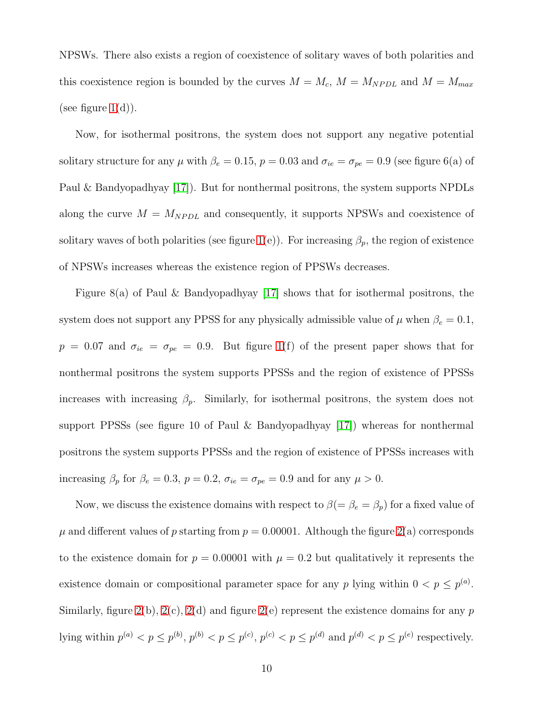NPSWs. There also exists a region of coexistence of solitary waves of both polarities and this coexistence region is bounded by the curves  $M = M_c$ ,  $M = M_{NPDL}$  and  $M = M_{max}$ (see figure  $1(d)$ ).

Now, for isothermal positrons, the system does not support any negative potential solitary structure for any  $\mu$  with  $\beta_e = 0.15$ ,  $p = 0.03$  and  $\sigma_{ie} = \sigma_{pe} = 0.9$  (see figure 6(a) of Paul & Bandyopadhyay [\[17\]](#page-18-9)). But for nonthermal positrons, the system supports NPDLs along the curve  $M = M_{NPDL}$  and consequently, it supports NPSWs and coexistence of solitary waves of both polarities (see figure [1\(](#page-20-0)e)). For increasing  $\beta_p$ , the region of existence of NPSWs increases whereas the existence region of PPSWs decreases.

Figure 8(a) of Paul & Bandyopadhyay [\[17\]](#page-18-9) shows that for isothermal positrons, the system does not support any PPSS for any physically admissible value of  $\mu$  when  $\beta_e = 0.1$ ,  $p = 0.07$  and  $\sigma_{ie} = \sigma_{pe} = 0.9$ . But figure [1\(](#page-20-0)f) of the present paper shows that for nonthermal positrons the system supports PPSSs and the region of existence of PPSSs increases with increasing  $\beta_p$ . Similarly, for isothermal positrons, the system does not support PPSSs (see figure 10 of Paul & Bandyopadhyay [\[17\]](#page-18-9)) whereas for nonthermal positrons the system supports PPSSs and the region of existence of PPSSs increases with increasing  $\beta_p$  for  $\beta_e = 0.3$ ,  $p = 0.2$ ,  $\sigma_{ie} = \sigma_{pe} = 0.9$  and for any  $\mu > 0$ .

Now, we discuss the existence domains with respect to  $\beta(=\beta_e=\beta_p)$  for a fixed value of  $\mu$  and different values of p starting from  $p = 0.00001$ . Although the figure [2\(](#page-21-0)a) corresponds to the existence domain for  $p = 0.00001$  with  $\mu = 0.2$  but qualitatively it represents the existence domain or compositional parameter space for any p lying within  $0 < p \le p^{(a)}$ . Similarly, figure [2\(](#page-21-0)b), 2(c), 2(d) and figure 2(e) represent the existence domains for any  $p$ lying within  $p^{(a)} < p \le p^{(b)}$ ,  $p^{(b)} < p \le p^{(c)}$ ,  $p^{(c)} < p \le p^{(d)}$  and  $p^{(d)} < p \le p^{(e)}$  respectively.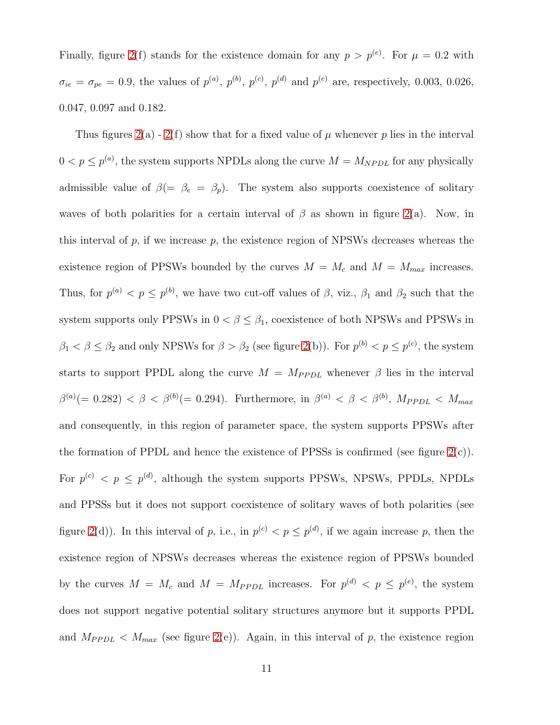Finally, figure [2\(](#page-21-0)f) stands for the existence domain for any  $p > p^{(e)}$ . For  $\mu = 0.2$  with  $\sigma_{ie} = \sigma_{pe} = 0.9$ , the values of  $p^{(a)}$ ,  $p^{(b)}$ ,  $p^{(c)}$ ,  $p^{(d)}$  and  $p^{(e)}$  are, respectively, 0.003, 0.026, 0.047, 0.097 and 0.182.

Thus figures  $2(a) - 2(f)$  $2(a) - 2(f)$  $2(a) - 2(f)$  show that for a fixed value of  $\mu$  whenever p lies in the interval  $0 < p \le p^{(a)}$ , the system supports NPDLs along the curve  $M = M_{NPDL}$  for any physically admissible value of  $\beta(=\beta_e = \beta_p)$ . The system also supports coexistence of solitary waves of both polarities for a certain interval of  $\beta$  as shown in figure [2\(](#page-21-0)a). Now, in this interval of  $p$ , if we increase  $p$ , the existence region of NPSWs decreases whereas the existence region of PPSWs bounded by the curves  $M = M_c$  and  $M = M_{max}$  increases. Thus, for  $p^{(a)} < p \leq p^{(b)}$ , we have two cut-off values of  $\beta$ , viz.,  $\beta_1$  and  $\beta_2$  such that the system supports only PPSWs in  $0 < \beta \leq \beta_1$ , coexistence of both NPSWs and PPSWs in  $\beta_1 < \beta \leq \beta_2$  and only NPSWs for  $\beta > \beta_2$  (see figure [2\(](#page-21-0)b)). For  $p^{(b)} < p \leq p^{(c)}$ , the system starts to support PPDL along the curve  $M = M_{PPDL}$  whenever  $\beta$  lies in the interval  $\beta^{(a)}(= 0.282) < \beta < \beta^{(b)}(= 0.294)$ . Furthermore, in  $\beta^{(a)} < \beta < \beta^{(b)}$ ,  $M_{PPDL} < M_{max}$ and consequently, in this region of parameter space, the system supports PPSWs after the formation of PPDL and hence the existence of PPSSs is confirmed (see figure  $2(c)$ ). For  $p^{(c)} < p \le p^{(d)}$ , although the system supports PPSWs, NPSWs, PPDLs, NPDLs and PPSSs but it does not support coexistence of solitary waves of both polarities (see figure [2\(](#page-21-0)d)). In this interval of p, i.e., in  $p^{(c)} < p \le p^{(d)}$ , if we again increase p, then the existence region of NPSWs decreases whereas the existence region of PPSWs bounded by the curves  $M = M_c$  and  $M = M_{PPDL}$  increases. For  $p^{(d)} < p \leq p^{(e)}$ , the system does not support negative potential solitary structures anymore but it supports PPDL and  $M_{PPDL} < M_{max}$  (see figure [2\(](#page-21-0)e)). Again, in this interval of p, the existence region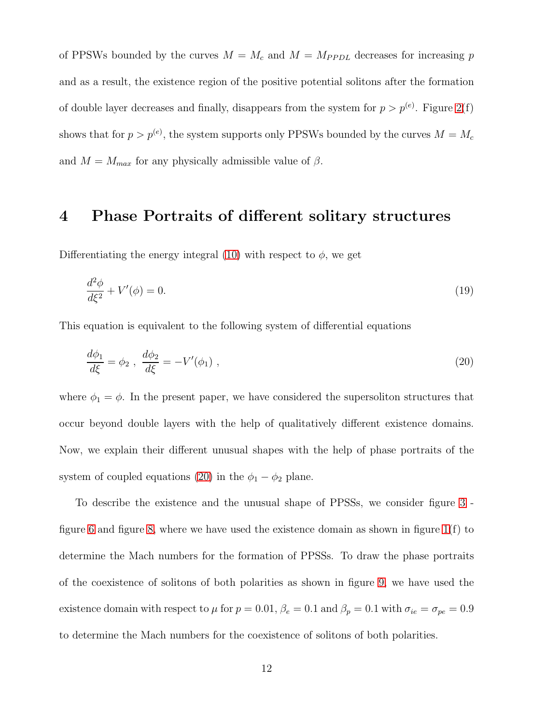of PPSWs bounded by the curves  $M = M_c$  and  $M = M_{PPDL}$  decreases for increasing p and as a result, the existence region of the positive potential solitons after the formation of double layer decreases and finally, disappears from the system for  $p > p^{(e)}$ . Figure [2\(](#page-21-0)f) shows that for  $p > p^{(e)}$ , the system supports only PPSWs bounded by the curves  $M = M_c$ and  $M = M_{max}$  for any physically admissible value of  $\beta$ .

#### <span id="page-11-0"></span>4 Phase Portraits of different solitary structures

Differentiating the energy integral [\(10\)](#page-5-0) with respect to  $\phi$ , we get

$$
\frac{d^2\phi}{d\xi^2} + V'(\phi) = 0.\tag{19}
$$

This equation is equivalent to the following system of differential equations

<span id="page-11-1"></span>
$$
\frac{d\phi_1}{d\xi} = \phi_2 \ , \ \frac{d\phi_2}{d\xi} = -V'(\phi_1) \ , \tag{20}
$$

where  $\phi_1 = \phi$ . In the present paper, we have considered the supersoliton structures that occur beyond double layers with the help of qualitatively different existence domains. Now, we explain their different unusual shapes with the help of phase portraits of the system of coupled equations [\(20\)](#page-11-1) in the  $\phi_1 - \phi_2$  plane.

To describe the existence and the unusual shape of PPSSs, we consider figure [3](#page-22-0) - figure [6](#page-24-0) and figure [8,](#page-25-0) where we have used the existence domain as shown in figure  $1(f)$  to determine the Mach numbers for the formation of PPSSs. To draw the phase portraits of the coexistence of solitons of both polarities as shown in figure [9,](#page-26-0) we have used the existence domain with respect to  $\mu$  for  $p = 0.01$ ,  $\beta_e = 0.1$  and  $\beta_p = 0.1$  with  $\sigma_{ie} = \sigma_{pe} = 0.9$ to determine the Mach numbers for the coexistence of solitons of both polarities.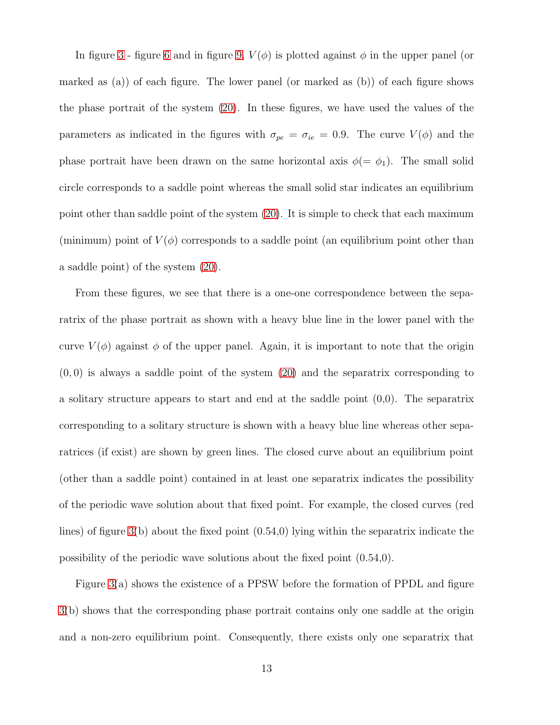In figure [3](#page-22-0) - figure [6](#page-24-0) and in figure [9,](#page-26-0)  $V(\phi)$  is plotted against  $\phi$  in the upper panel (or marked as (a)) of each figure. The lower panel (or marked as (b)) of each figure shows the phase portrait of the system [\(20\)](#page-11-1). In these figures, we have used the values of the parameters as indicated in the figures with  $\sigma_{pe} = \sigma_{ie} = 0.9$ . The curve  $V(\phi)$  and the phase portrait have been drawn on the same horizontal axis  $\phi(=\phi_1)$ . The small solid circle corresponds to a saddle point whereas the small solid star indicates an equilibrium point other than saddle point of the system [\(20\)](#page-11-1). It is simple to check that each maximum (minimum) point of  $V(\phi)$  corresponds to a saddle point (an equilibrium point other than a saddle point) of the system [\(20\)](#page-11-1).

From these figures, we see that there is a one-one correspondence between the separatrix of the phase portrait as shown with a heavy blue line in the lower panel with the curve  $V(\phi)$  against  $\phi$  of the upper panel. Again, it is important to note that the origin  $(0, 0)$  is always a saddle point of the system  $(20)$  and the separatrix corresponding to a solitary structure appears to start and end at the saddle point (0,0). The separatrix corresponding to a solitary structure is shown with a heavy blue line whereas other separatrices (if exist) are shown by green lines. The closed curve about an equilibrium point (other than a saddle point) contained in at least one separatrix indicates the possibility of the periodic wave solution about that fixed point. For example, the closed curves (red lines) of figure [3\(](#page-22-0)b) about the fixed point (0.54,0) lying within the separatrix indicate the possibility of the periodic wave solutions about the fixed point (0.54,0).

Figure [3\(](#page-22-0)a) shows the existence of a PPSW before the formation of PPDL and figure [3\(](#page-22-0)b) shows that the corresponding phase portrait contains only one saddle at the origin and a non-zero equilibrium point. Consequently, there exists only one separatrix that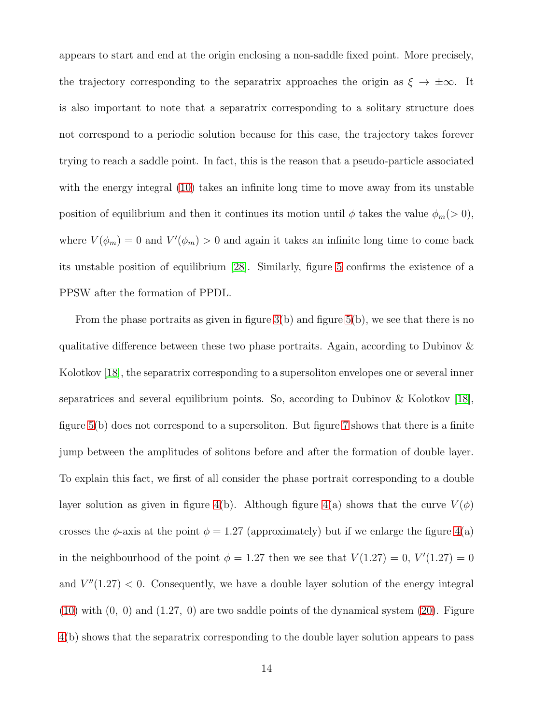appears to start and end at the origin enclosing a non-saddle fixed point. More precisely, the trajectory corresponding to the separatrix approaches the origin as  $\xi \to \pm \infty$ . It is also important to note that a separatrix corresponding to a solitary structure does not correspond to a periodic solution because for this case, the trajectory takes forever trying to reach a saddle point. In fact, this is the reason that a pseudo-particle associated with the energy integral [\(10\)](#page-5-0) takes an infinite long time to move away from its unstable position of equilibrium and then it continues its motion until  $\phi$  takes the value  $\phi_m(>0)$ , where  $V(\phi_m) = 0$  and  $V'(\phi_m) > 0$  and again it takes an infinite long time to come back its unstable position of equilibrium [\[28\]](#page-19-6). Similarly, figure [5](#page-24-1) confirms the existence of a PPSW after the formation of PPDL.

From the phase portraits as given in figure  $3(b)$  and figure  $5(b)$ , we see that there is no qualitative difference between these two phase portraits. Again, according to Dubinov  $\&$ Kolotkov [\[18\]](#page-18-10), the separatrix corresponding to a supersoliton envelopes one or several inner separatrices and several equilibrium points. So, according to Dubinov  $\&$  Kolotkov [\[18\]](#page-18-10), figure [5\(](#page-24-1)b) does not correspond to a supersoliton. But figure [7](#page-25-1) shows that there is a finite jump between the amplitudes of solitons before and after the formation of double layer. To explain this fact, we first of all consider the phase portrait corresponding to a double layer solution as given in figure [4\(](#page-23-0)b). Although figure 4(a) shows that the curve  $V(\phi)$ crosses the  $\phi$ -axis at the point  $\phi = 1.27$  (approximately) but if we enlarge the figure [4\(](#page-23-0)a) in the neighbourhood of the point  $\phi = 1.27$  then we see that  $V(1.27) = 0$ ,  $V'(1.27) = 0$ and  $V''(1.27) < 0$ . Consequently, we have a double layer solution of the energy integral  $(10)$  with  $(0, 0)$  and  $(1.27, 0)$  are two saddle points of the dynamical system  $(20)$ . Figure [4\(](#page-23-0)b) shows that the separatrix corresponding to the double layer solution appears to pass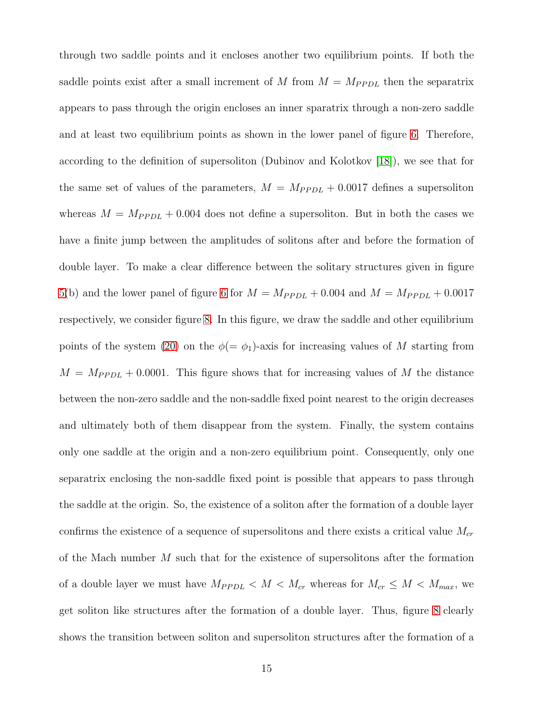through two saddle points and it encloses another two equilibrium points. If both the saddle points exist after a small increment of M from  $M = M_{PPDL}$  then the separatrix appears to pass through the origin encloses an inner sparatrix through a non-zero saddle and at least two equilibrium points as shown in the lower panel of figure [6.](#page-24-0) Therefore, according to the definition of supersoliton (Dubinov and Kolotkov [\[18\]](#page-18-10)), we see that for the same set of values of the parameters,  $M = M_{PPDL} + 0.0017$  defines a supersoliton whereas  $M = M_{PPDL} + 0.004$  does not define a supersoliton. But in both the cases we have a finite jump between the amplitudes of solitons after and before the formation of double layer. To make a clear difference between the solitary structures given in figure [5\(](#page-24-1)b) and the lower panel of figure [6](#page-24-0) for  $M = M_{PPDL} + 0.004$  and  $M = M_{PPDL} + 0.0017$ respectively, we consider figure [8.](#page-25-0) In this figure, we draw the saddle and other equilibrium points of the system [\(20\)](#page-11-1) on the  $\phi(=\phi_1)$ -axis for increasing values of M starting from  $M = M_{PPDL} + 0.0001$ . This figure shows that for increasing values of M the distance between the non-zero saddle and the non-saddle fixed point nearest to the origin decreases and ultimately both of them disappear from the system. Finally, the system contains only one saddle at the origin and a non-zero equilibrium point. Consequently, only one separatrix enclosing the non-saddle fixed point is possible that appears to pass through the saddle at the origin. So, the existence of a soliton after the formation of a double layer confirms the existence of a sequence of supersolitons and there exists a critical value  $M_{cr}$ of the Mach number  $M$  such that for the existence of supersolitons after the formation of a double layer we must have  $M_{PPDL} < M < M_{cr}$  whereas for  $M_{cr} \leq M < M_{max}$ , we get soliton like structures after the formation of a double layer. Thus, figure [8](#page-25-0) clearly shows the transition between soliton and supersoliton structures after the formation of a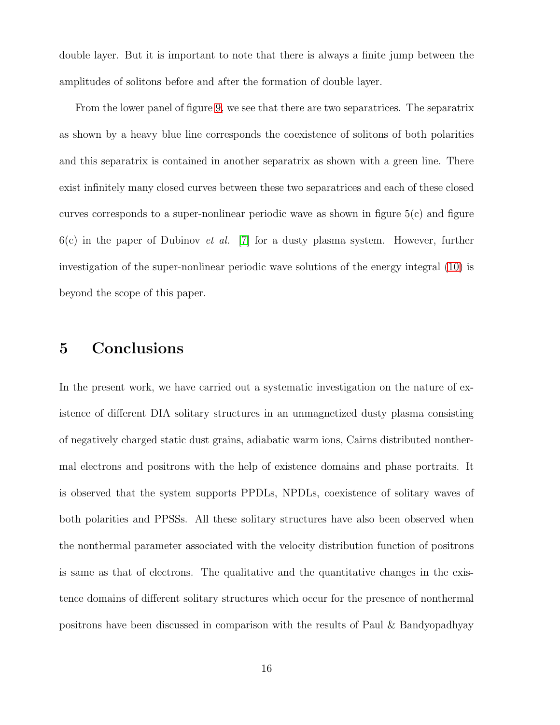double layer. But it is important to note that there is always a finite jump between the amplitudes of solitons before and after the formation of double layer.

From the lower panel of figure [9,](#page-26-0) we see that there are two separatrices. The separatrix as shown by a heavy blue line corresponds the coexistence of solitons of both polarities and this separatrix is contained in another separatrix as shown with a green line. There exist infinitely many closed curves between these two separatrices and each of these closed curves corresponds to a super-nonlinear periodic wave as shown in figure  $5(c)$  and figure 6(c) in the paper of Dubinov *et al.* [\[7\]](#page-17-6) for a dusty plasma system. However, further investigation of the super-nonlinear periodic wave solutions of the energy integral [\(10\)](#page-5-0) is beyond the scope of this paper.

### <span id="page-15-0"></span>5 Conclusions

In the present work, we have carried out a systematic investigation on the nature of existence of different DIA solitary structures in an unmagnetized dusty plasma consisting of negatively charged static dust grains, adiabatic warm ions, Cairns distributed nonthermal electrons and positrons with the help of existence domains and phase portraits. It is observed that the system supports PPDLs, NPDLs, coexistence of solitary waves of both polarities and PPSSs. All these solitary structures have also been observed when the nonthermal parameter associated with the velocity distribution function of positrons is same as that of electrons. The qualitative and the quantitative changes in the existence domains of different solitary structures which occur for the presence of nonthermal positrons have been discussed in comparison with the results of Paul & Bandyopadhyay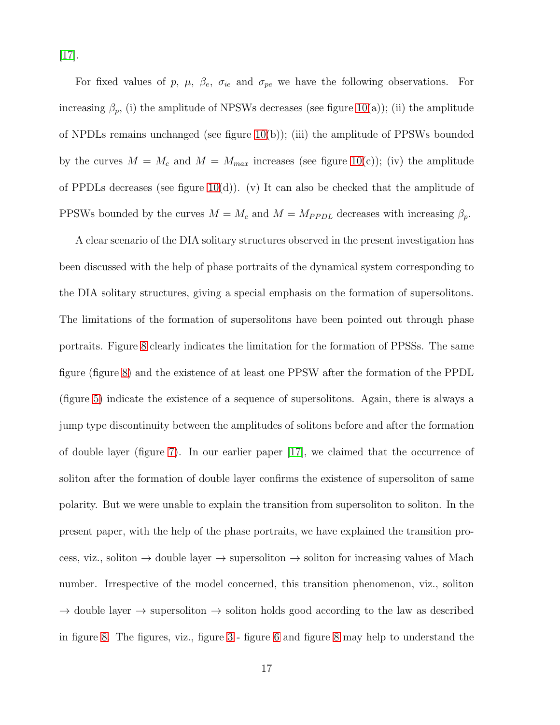[\[17\]](#page-18-9).

For fixed values of p,  $\mu$ ,  $\beta_e$ ,  $\sigma_{ie}$  and  $\sigma_{pe}$  we have the following observations. For increasing  $\beta_p$ , (i) the amplitude of NPSWs decreases (see figure [10\(](#page-26-1)a)); (ii) the amplitude of NPDLs remains unchanged (see figure [10\(](#page-26-1)b)); (iii) the amplitude of PPSWs bounded by the curves  $M = M_c$  and  $M = M_{max}$  increases (see figure [10\(](#page-26-1)c)); (iv) the amplitude of PPDLs decreases (see figure [10\(](#page-26-1)d)). (v) It can also be checked that the amplitude of PPSWs bounded by the curves  $M = M_c$  and  $M = M_{PPDL}$  decreases with increasing  $\beta_p$ .

A clear scenario of the DIA solitary structures observed in the present investigation has been discussed with the help of phase portraits of the dynamical system corresponding to the DIA solitary structures, giving a special emphasis on the formation of supersolitons. The limitations of the formation of supersolitons have been pointed out through phase portraits. Figure [8](#page-25-0) clearly indicates the limitation for the formation of PPSSs. The same figure (figure [8\)](#page-25-0) and the existence of at least one PPSW after the formation of the PPDL (figure [5\)](#page-24-1) indicate the existence of a sequence of supersolitons. Again, there is always a jump type discontinuity between the amplitudes of solitons before and after the formation of double layer (figure [7\)](#page-25-1). In our earlier paper [\[17\]](#page-18-9), we claimed that the occurrence of soliton after the formation of double layer confirms the existence of supersoliton of same polarity. But we were unable to explain the transition from supersoliton to soliton. In the present paper, with the help of the phase portraits, we have explained the transition process, viz., soliton  $\rightarrow$  double layer  $\rightarrow$  supersoliton  $\rightarrow$  soliton for increasing values of Mach number. Irrespective of the model concerned, this transition phenomenon, viz., soliton  $\rightarrow$  double layer  $\rightarrow$  supersoliton  $\rightarrow$  soliton holds good according to the law as described in figure [8.](#page-25-0) The figures, viz., figure [3](#page-22-0) - figure [6](#page-24-0) and figure [8](#page-25-0) may help to understand the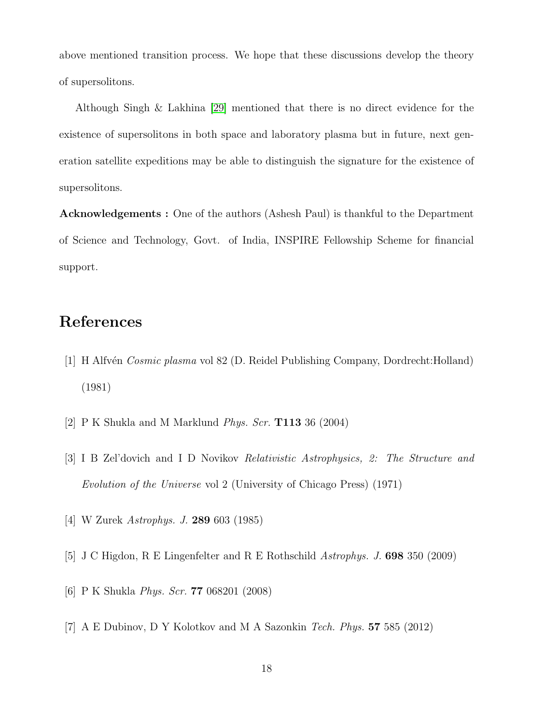above mentioned transition process. We hope that these discussions develop the theory of supersolitons.

Although Singh & Lakhina [\[29\]](#page-19-7) mentioned that there is no direct evidence for the existence of supersolitons in both space and laboratory plasma but in future, next generation satellite expeditions may be able to distinguish the signature for the existence of supersolitons.

Acknowledgements : One of the authors (Ashesh Paul) is thankful to the Department of Science and Technology, Govt. of India, INSPIRE Fellowship Scheme for financial support.

#### <span id="page-17-0"></span>References

- <span id="page-17-1"></span>[1] H Alfv´en *Cosmic plasma* vol 82 (D. Reidel Publishing Company, Dordrecht:Holland) (1981)
- <span id="page-17-2"></span>[2] P K Shukla and M Marklund *Phys. Scr.* T113 36 (2004)
- <span id="page-17-3"></span>[3] I B Zel'dovich and I D Novikov *Relativistic Astrophysics, 2: The Structure and Evolution of the Universe* vol 2 (University of Chicago Press) (1971)
- <span id="page-17-4"></span>[4] W Zurek *Astrophys. J.* 289 603 (1985)
- <span id="page-17-5"></span>[5] J C Higdon, R E Lingenfelter and R E Rothschild *Astrophys. J.* 698 350 (2009)
- <span id="page-17-6"></span>[6] P K Shukla *Phys. Scr.* 77 068201 (2008)
- [7] A E Dubinov, D Y Kolotkov and M A Sazonkin *Tech. Phys.* 57 585 (2012)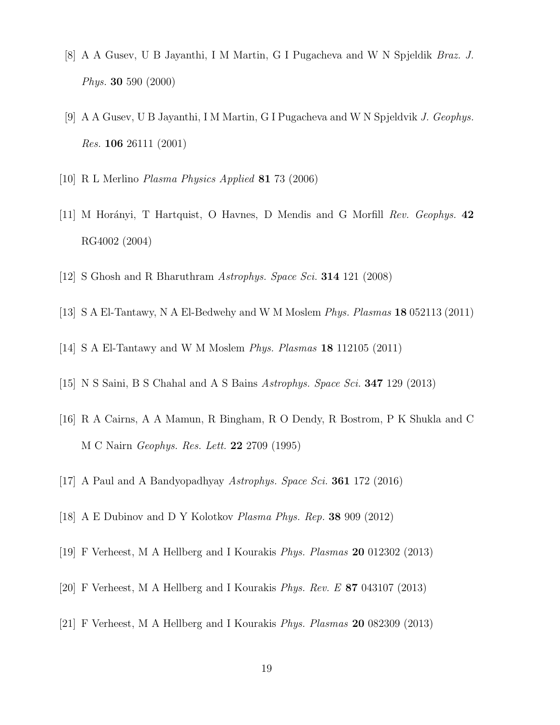- <span id="page-18-1"></span><span id="page-18-0"></span>[8] A A Gusev, U B Jayanthi, I M Martin, G I Pugacheva and W N Spjeldik *Braz. J. Phys.* 30 590 (2000)
- <span id="page-18-2"></span>[9] A A Gusev, U B Jayanthi, I M Martin, G I Pugacheva and W N Spjeldvik *J. Geophys. Res.* 106 26111 (2001)
- <span id="page-18-3"></span>[10] R L Merlino *Plasma Physics Applied* 81 73 (2006)
- <span id="page-18-4"></span>[11] M Hor´anyi, T Hartquist, O Havnes, D Mendis and G Morfill *Rev. Geophys.* 42 RG4002 (2004)
- <span id="page-18-5"></span>[12] S Ghosh and R Bharuthram *Astrophys. Space Sci.* 314 121 (2008)
- <span id="page-18-6"></span>[13] S A El-Tantawy, N A El-Bedwehy and W M Moslem *Phys. Plasmas* 18 052113 (2011)
- <span id="page-18-7"></span>[14] S A El-Tantawy and W M Moslem *Phys. Plasmas* 18 112105 (2011)
- <span id="page-18-8"></span>[15] N S Saini, B S Chahal and A S Bains *Astrophys. Space Sci.* 347 129 (2013)
- <span id="page-18-9"></span>[16] R A Cairns, A A Mamun, R Bingham, R O Dendy, R Bostrom, P K Shukla and C M C Nairn *Geophys. Res. Lett.* 22 2709 (1995)
- <span id="page-18-10"></span>[17] A Paul and A Bandyopadhyay *Astrophys. Space Sci.* 361 172 (2016)
- <span id="page-18-11"></span>[18] A E Dubinov and D Y Kolotkov *Plasma Phys. Rep.* 38 909 (2012)
- <span id="page-18-12"></span>[19] F Verheest, M A Hellberg and I Kourakis *Phys. Plasmas* 20 012302 (2013)
- <span id="page-18-13"></span>[20] F Verheest, M A Hellberg and I Kourakis *Phys. Rev. E* 87 043107 (2013)
- [21] F Verheest, M A Hellberg and I Kourakis *Phys. Plasmas* 20 082309 (2013)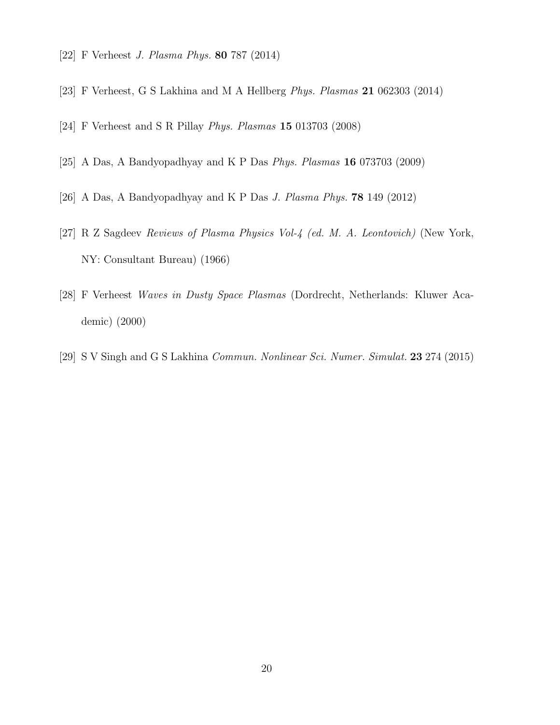- <span id="page-19-1"></span><span id="page-19-0"></span>[22] F Verheest *J. Plasma Phys.* 80 787 (2014)
- <span id="page-19-2"></span>[23] F Verheest, G S Lakhina and M A Hellberg *Phys. Plasmas* 21 062303 (2014)
- <span id="page-19-4"></span>[24] F Verheest and S R Pillay *Phys. Plasmas* 15 013703 (2008)
- <span id="page-19-5"></span>[25] A Das, A Bandyopadhyay and K P Das *Phys. Plasmas* 16 073703 (2009)
- <span id="page-19-3"></span>[26] A Das, A Bandyopadhyay and K P Das *J. Plasma Phys.* 78 149 (2012)
- <span id="page-19-6"></span>[27] R Z Sagdeev *Reviews of Plasma Physics Vol-4 (ed. M. A. Leontovich)* (New York, NY: Consultant Bureau) (1966)
- <span id="page-19-7"></span>[28] F Verheest *Waves in Dusty Space Plasmas* (Dordrecht, Netherlands: Kluwer Academic) (2000)
- [29] S V Singh and G S Lakhina *Commun. Nonlinear Sci. Numer. Simulat.* 23 274 (2015)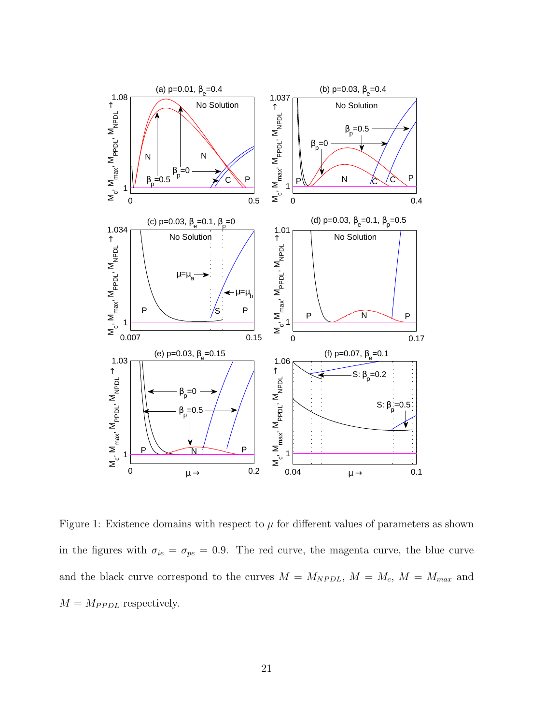

<span id="page-20-0"></span>Figure 1: Existence domains with respect to  $\mu$  for different values of parameters as shown in the figures with  $\sigma_{ie} = \sigma_{pe} = 0.9$ . The red curve, the magenta curve, the blue curve and the black curve correspond to the curves  $M = M_{NPDL}$ ,  $M = M_c$ ,  $M = M_{max}$  and  $M = M_{PPDL}$  respectively.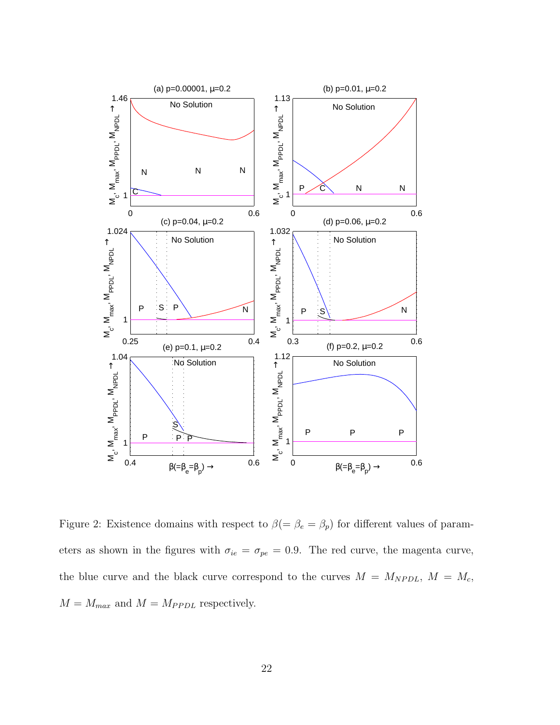

<span id="page-21-0"></span>Figure 2: Existence domains with respect to  $\beta (= \beta_e = \beta_p)$  for different values of parameters as shown in the figures with  $\sigma_{ie} = \sigma_{pe} = 0.9$ . The red curve, the magenta curve, the blue curve and the black curve correspond to the curves  $M = M_{NPDL}$ ,  $M = M_c$ ,  $M = M_{max}$  and  $M = M_{PPDL}$  respectively.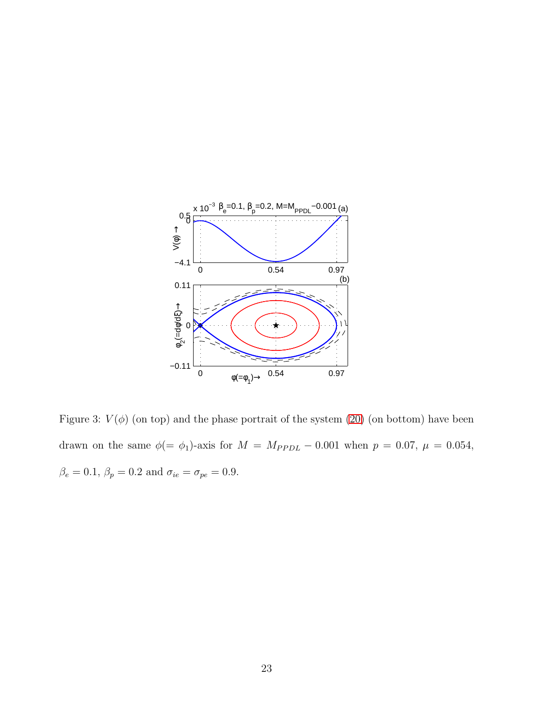

<span id="page-22-0"></span>Figure 3:  $V(\phi)$  (on top) and the phase portrait of the system [\(20\)](#page-11-1) (on bottom) have been drawn on the same  $\phi(=\phi_1)$ -axis for  $M = M_{PPDL} - 0.001$  when  $p = 0.07$ ,  $\mu = 0.054$ ,  $\beta_e=0.1,\,\beta_p=0.2$  and  $\sigma_{ie}=\sigma_{pe}=0.9.$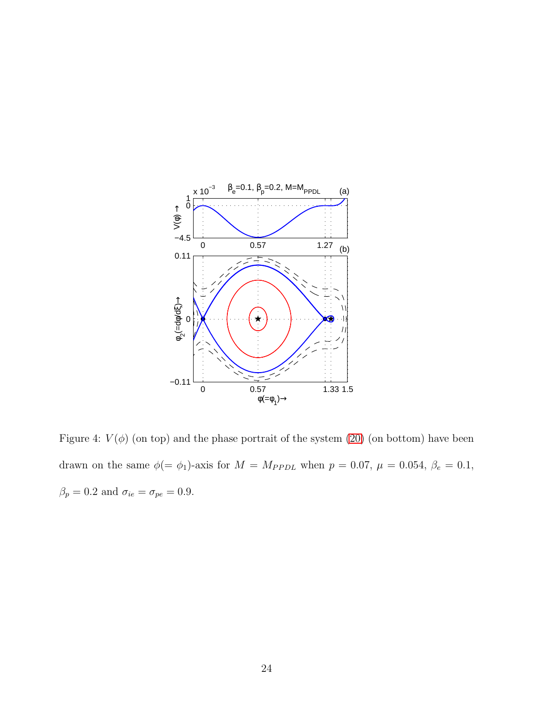

<span id="page-23-0"></span>Figure 4:  $V(\phi)$  (on top) and the phase portrait of the system [\(20\)](#page-11-1) (on bottom) have been drawn on the same  $\phi(=\phi_1)$ -axis for  $M = M_{PPDL}$  when  $p = 0.07$ ,  $\mu = 0.054$ ,  $\beta_e = 0.1$ ,  $\beta_p=0.2$  and  $\sigma_{ie}=\sigma_{pe}=0.9.$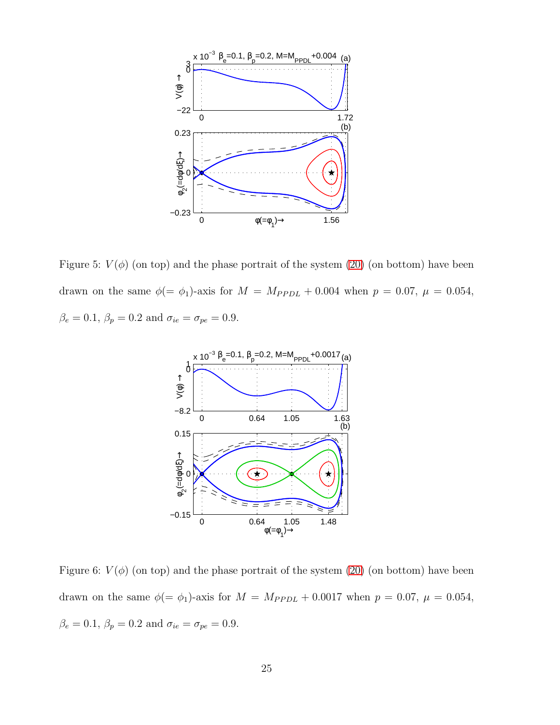

<span id="page-24-1"></span>Figure 5:  $V(\phi)$  (on top) and the phase portrait of the system [\(20\)](#page-11-1) (on bottom) have been drawn on the same  $\phi(=\phi_1)$ -axis for  $M = M_{PPDL} + 0.004$  when  $p = 0.07$ ,  $\mu = 0.054$ ,  $\beta_e = 0.1, \, \beta_p = 0.2$  and  $\sigma_{ie} = \sigma_{pe} = 0.9$ .



<span id="page-24-0"></span>Figure 6:  $V(\phi)$  (on top) and the phase portrait of the system [\(20\)](#page-11-1) (on bottom) have been drawn on the same  $\phi(=\phi_1)$ -axis for  $M = M_{PPDL} + 0.0017$  when  $p = 0.07$ ,  $\mu = 0.054$ ,  $\beta_e=0.1,\,\beta_p=0.2$  and  $\sigma_{ie}=\sigma_{pe}=0.9.$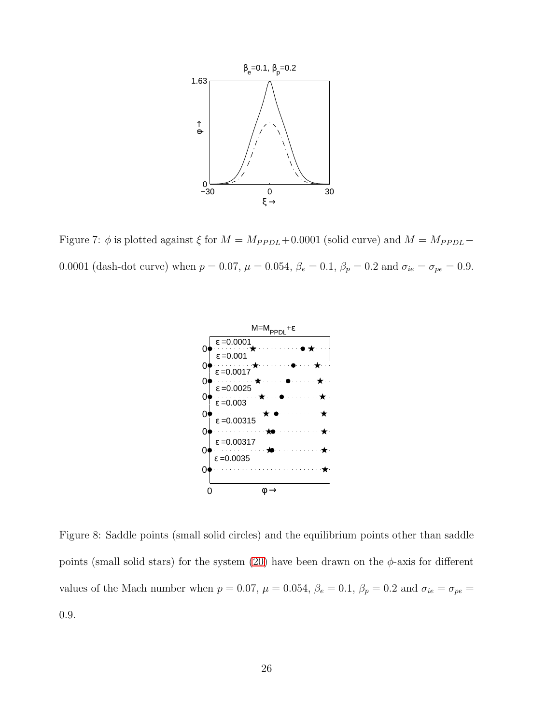

<span id="page-25-1"></span>Figure 7:  $\phi$  is plotted against  $\xi$  for  $M = M_{PPDL} + 0.0001$  (solid curve) and  $M = M_{PPDL} -$ 0.0001 (dash-dot curve) when  $p = 0.07$ ,  $\mu = 0.054$ ,  $\beta_e = 0.1$ ,  $\beta_p = 0.2$  and  $\sigma_{ie} = \sigma_{pe} = 0.9$ .



<span id="page-25-0"></span>Figure 8: Saddle points (small solid circles) and the equilibrium points other than saddle points (small solid stars) for the system [\(20\)](#page-11-1) have been drawn on the  $\phi$ -axis for different values of the Mach number when  $p = 0.07$ ,  $\mu = 0.054$ ,  $\beta_e = 0.1$ ,  $\beta_p = 0.2$  and  $\sigma_{ie} = \sigma_{pe} =$ 0.9.